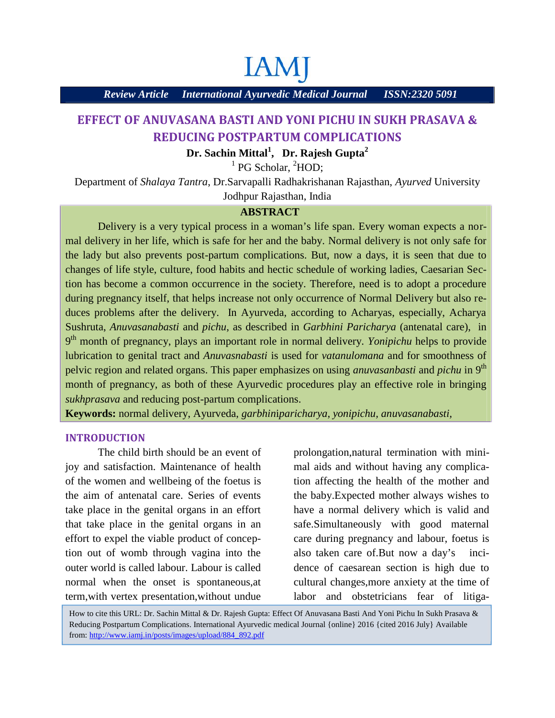# **IAM**

*Review Article International Ayurvedic Medical Journal ISSN:2320 5091*

### **EFFECT OF ANUVASANA BASTI AND YONI PICHU IN SUKH PRASAVA & REDUCING POSTPARTUM COMPLICATIONS**

**Dr. Sachin Mittal<sup>1</sup> , Dr. Rajesh Gupta<sup>2</sup>**

 $<sup>1</sup>$  PG Scholar,  $<sup>2</sup>$ HOD;</sup></sup>

Department of *Shalaya Tantra*, Dr.Sarvapalli Radhakrishanan Rajasthan, *Ayurved* University

Jodhpur Rajasthan, India

#### **ABSTRACT**

Delivery is a very typical process in a woman's life span. Every woman expects a normal delivery in her life, which is safe for her and the baby. Normal delivery is not only safe for the lady but also prevents post-partum complications. But, now a days, it is seen that due to changes of life style, culture, food habits and hectic schedule of working ladies, Caesarian Section has become a common occurrence in the society. Therefore, need is to adopt a procedure during pregnancy itself, that helps increase not only occurrence of Normal Delivery but also reduces problems after the delivery. In Ayurveda, according to Acharyas, especially, Acharya Sushruta, *Anuvasanabasti* and *pichu*, as described in *Garbhini Paricharya* (antenatal care), in 9 th month of pregnancy, plays an important role in normal delivery. *Yonipichu* helps to provide lubrication to genital tract and *Anuvasnabasti* is used for *vatanulomana* and for smoothness of pelvic region and related organs. This paper emphasizes on using *anuvasanbasti* and *pichu* in 9th month of pregnancy, as both of these Ayurvedic procedures play an effective role in bringing *sukhprasava* and reducing post-partum complications.

**Keywords:** normal delivery, Ayurveda, *garbhin*i*paricharya*, *yonipichu, anuvasanabasti,*

#### **INTRODUCTION**

The child birth should be an event of joy and satisfaction. Maintenance of health of the women and wellbeing of the foetus is the aim of antenatal care. Series of events take place in the genital organs in an effort that take place in the genital organs in an effort to expel the viable product of conception out of womb through vagina into the outer world is called labour. Labour is called normal when the onset is spontaneous,at term,with vertex presentation,without undue prolongation,natural termination with minimal aids and without having any complication affecting the health of the mother and the baby.Expected mother always wishes to have a normal delivery which is valid and safe.Simultaneously with good maternal care during pregnancy and labour, foetus is also taken care of.But now a day's incidence of caesarean section is high due to cultural changes,more anxiety at the time of labor and obstetricians fear of litiga-

How to cite this URL: Dr. Sachin Mittal & Dr. Rajesh Gupta: Effect Of Anuvasana Basti And Yoni Pichu In Sukh Prasava & Reducing Postpartum Complications. International Ayurvedic medical Journal {online} 2016 {cited 2016 July} Available from: http://www.iamj.in/posts/images/upload/884\_892.pdf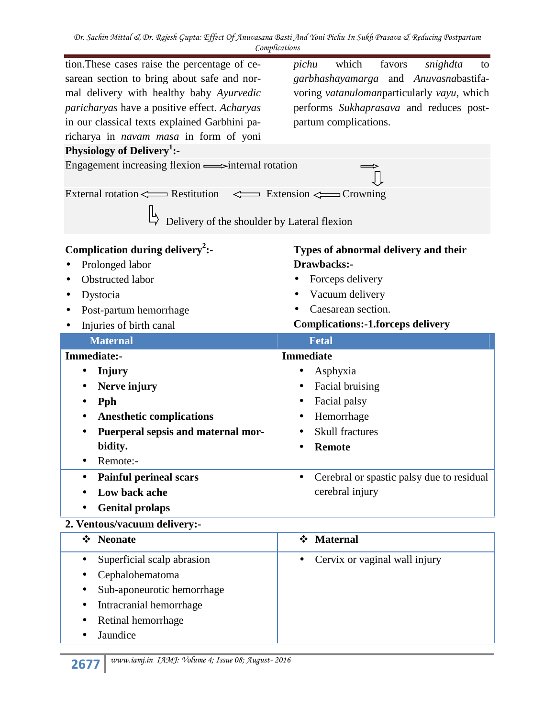*Dr. Sachin Mittal & Dr. Rajesh Gupta: Effect Of Anuvasana Basti And Yoni Pichu In Sukh Prasava & Reducing Postpartum Complications*

| tion. These cases raise the percentage of ce-<br>sarean section to bring about safe and nor-<br>mal delivery with healthy baby Ayurvedic<br>paricharyas have a positive effect. Acharyas<br>in our classical texts explained Garbhini pa-<br>richarya in navam masa in form of yoni<br>Physiology of Delivery <sup>1</sup> :-<br>Engagement increasing flexion = > internal rotation<br>External rotation <=== Restitution <=== Extension <== Crowning<br>Delivery of the shoulder by Lateral flexion | which<br>favors<br>pichu<br>snighdta<br>to<br>garbhashayamarga and Anuvasnabastifa-<br>voring vatanulomanparticularly vayu, which<br>performs Sukhaprasava and reduces post-<br>partum complications. |
|-------------------------------------------------------------------------------------------------------------------------------------------------------------------------------------------------------------------------------------------------------------------------------------------------------------------------------------------------------------------------------------------------------------------------------------------------------------------------------------------------------|-------------------------------------------------------------------------------------------------------------------------------------------------------------------------------------------------------|
| Complication during delivery <sup>2</sup> :-<br>Prolonged labor<br>Obstructed labor<br>Dystocia<br>Post-partum hemorrhage<br>Injuries of birth canal                                                                                                                                                                                                                                                                                                                                                  | Types of abnormal delivery and their<br>Drawbacks:-<br>Forceps delivery<br>Vacuum delivery<br>Caesarean section.<br><b>Complications:-1.forceps delivery</b>                                          |
| <b>Maternal</b>                                                                                                                                                                                                                                                                                                                                                                                                                                                                                       | <b>Fetal</b>                                                                                                                                                                                          |
| Immediate:-                                                                                                                                                                                                                                                                                                                                                                                                                                                                                           | <b>Immediate</b>                                                                                                                                                                                      |
| Injury                                                                                                                                                                                                                                                                                                                                                                                                                                                                                                | Asphyxia<br>$\bullet$                                                                                                                                                                                 |
| Nerve injury                                                                                                                                                                                                                                                                                                                                                                                                                                                                                          | Facial bruising                                                                                                                                                                                       |
| <b>Pph</b>                                                                                                                                                                                                                                                                                                                                                                                                                                                                                            | Facial palsy                                                                                                                                                                                          |
| <b>Anesthetic complications</b>                                                                                                                                                                                                                                                                                                                                                                                                                                                                       | Hemorrhage<br>$\bullet$                                                                                                                                                                               |
| Puerperal sepsis and maternal mor-                                                                                                                                                                                                                                                                                                                                                                                                                                                                    | <b>Skull fractures</b>                                                                                                                                                                                |
| bidity.                                                                                                                                                                                                                                                                                                                                                                                                                                                                                               | <b>Remote</b>                                                                                                                                                                                         |
| Remote:-                                                                                                                                                                                                                                                                                                                                                                                                                                                                                              |                                                                                                                                                                                                       |
| <b>Painful perineal scars</b>                                                                                                                                                                                                                                                                                                                                                                                                                                                                         | Cerebral or spastic palsy due to residual<br>$\bullet$                                                                                                                                                |
| Low back ache                                                                                                                                                                                                                                                                                                                                                                                                                                                                                         | cerebral injury                                                                                                                                                                                       |
| <b>Genital prolaps</b>                                                                                                                                                                                                                                                                                                                                                                                                                                                                                |                                                                                                                                                                                                       |
| 2. Ventous/vacuum delivery:-                                                                                                                                                                                                                                                                                                                                                                                                                                                                          |                                                                                                                                                                                                       |
| ❖ Neonate                                                                                                                                                                                                                                                                                                                                                                                                                                                                                             | <b>Maternal</b><br>$\cdot \cdot$                                                                                                                                                                      |
| Superficial scalp abrasion                                                                                                                                                                                                                                                                                                                                                                                                                                                                            |                                                                                                                                                                                                       |
|                                                                                                                                                                                                                                                                                                                                                                                                                                                                                                       | Cervix or vaginal wall injury<br>$\bullet$                                                                                                                                                            |
|                                                                                                                                                                                                                                                                                                                                                                                                                                                                                                       |                                                                                                                                                                                                       |
| Cephalohematoma<br>Sub-aponeurotic hemorrhage                                                                                                                                                                                                                                                                                                                                                                                                                                                         |                                                                                                                                                                                                       |
| Intracranial hemorrhage                                                                                                                                                                                                                                                                                                                                                                                                                                                                               |                                                                                                                                                                                                       |
| Retinal hemorrhage                                                                                                                                                                                                                                                                                                                                                                                                                                                                                    |                                                                                                                                                                                                       |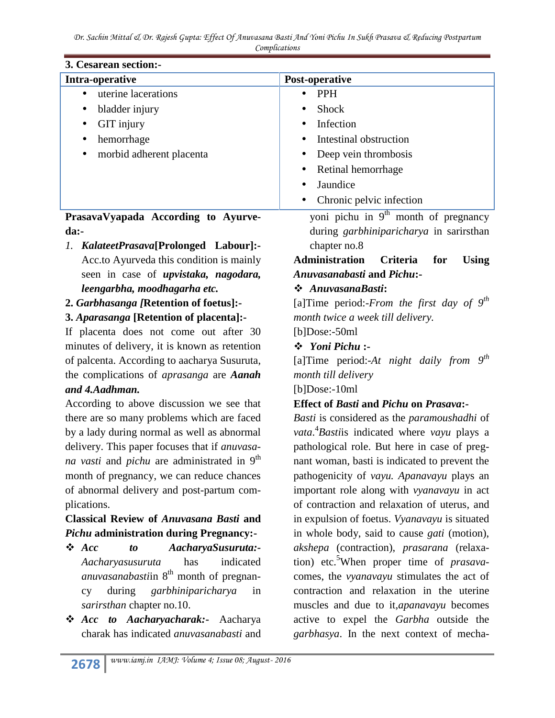*Dr. Sachin Mittal & Dr. Rajesh Gupta: Effect Of Anuvasana Basti And Yoni Pichu In Sukh Prasava & Reducing Postpartum Complications*

| 3. Cesarean section:-               |                                        |
|-------------------------------------|----------------------------------------|
| Intra-operative                     | Post-operative                         |
| uterine lacerations                 | <b>PPH</b>                             |
| bladder injury<br>$\bullet$         | <b>Shock</b><br>$\bullet$              |
| GIT injury                          | Infection                              |
| hemorrhage<br>$\bullet$             | Intestinal obstruction                 |
| morbid adherent placenta            | Deep vein thrombosis                   |
|                                     | Retinal hemorrhage                     |
|                                     | Jaundice<br>$\bullet$                  |
|                                     | Chronic pelvic infection<br>$\bullet$  |
| PrasavaVyapada According to Ayurve- | yoni pichu in $9th$ month of pregnancy |
|                                     | .                                      |

**da:-**

- *1. KalateetPrasava***[Prolonged Labour]:-** Acc.to Ayurveda this condition is mainly seen in case of *upvistaka, nagodara, leengarbha, moodhagarha etc.*
- **2.** *Garbhasanga [***Retention of foetus]:-**
- **3.** *Aparasanga* **[Retention of placenta]:-**

If placenta does not come out after 30 minutes of delivery, it is known as retention of palcenta. According to aacharya Susuruta, the complications of *aprasanga* are *Aanah and 4.Aadhman.*

According to above discussion we see that there are so many problems which are faced by a lady during normal as well as abnormal delivery. This paper focuses that if *anuvasana vasti* and *pichu* are administrated in 9<sup>th</sup> month of pregnancy, we can reduce chances of abnormal delivery and post-partum complications.

#### **Classical Review of** *Anuvasana Basti* **and** *Pichu* **administration during Pregnancy:-**

- *Acc to AacharyaSusuruta:- Aacharyasusuruta* has indicated *anuvasanabasti*in 8<sup>th</sup> month of pregnancy during *garbhiniparicharya* in *sarirsthan* chapter no.10.
- *Acc to Aacharyacharak:***-** Aacharya charak has indicated *anuvasanabasti* and

during *garbhiniparicharya* in sarirsthan chapter no.8

**Administration Criteria for Using** *Anuvasanabasti* **and** *Pichu***:-**

#### *AnuvasanaBasti***:**

[a]Time period:-*From the first day of 9th month twice a week till delivery.*

[b]Dose:-50ml

#### *Yoni Pichu* **:-**

[a]Time period:-*At night daily from 9th month till delivery*

[b]Dose:-10ml

## **Effect of** *Basti* **and** *Pichu* **on** *Prasava***:-**

*Basti* is considered as the *paramoushadhi* of *vata*.<sup>4</sup>*Basti*is indicated where *vayu* plays a pathological role. But here in case of pregnant woman, basti is indicated to prevent the pathogenicity of *vayu. Apanavayu* plays an important role along with *vyanavayu* in act of contraction and relaxation of uterus, and in expulsion of foetus. *Vyanavayu* is situated in whole body, said to cause *gati* (motion), *akshepa* (contraction), *prasarana* (relaxation) etc.<sup>5</sup>When proper time of *prasava*comes, the *vyanavayu* stimulates the act of contraction and relaxation in the uterine muscles and due to it,*apanavayu* becomes active to expel the *Garbha* outside the *garbhasya*. In the next context of mecha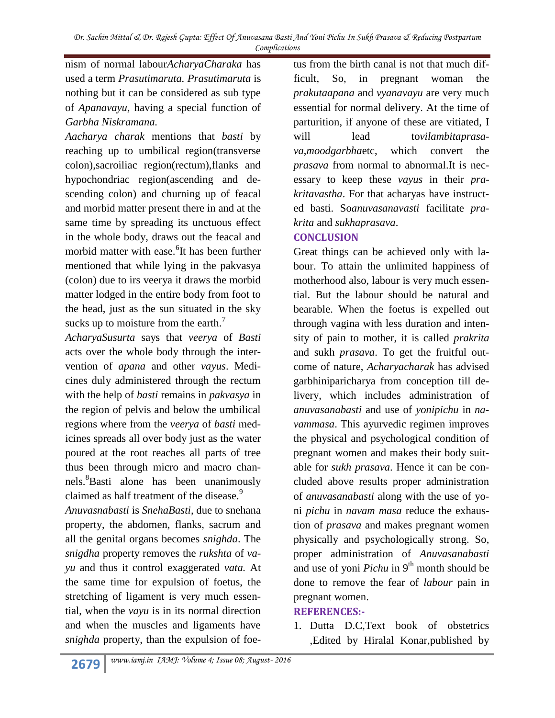nism of normal labour*AcharyaCharaka* has used a term *Prasutimaruta. Prasutimaruta* is nothing but it can be considered as sub type of *Apanavayu,* having a special function of *Garbha Niskramana.*

*Aacharya charak* mentions that *basti* by reaching up to umbilical region(transverse colon),sacroiliac region(rectum),flanks and hypochondriac region(ascending and descending colon) and churning up of feacal and morbid matter present there in and at the same time by spreading its unctuous effect in the whole body, draws out the feacal and morbid matter with ease. <sup>6</sup>It has been further mentioned that while lying in the pakvasya (colon) due to irs veerya it draws the morbid matter lodged in the entire body from foot to the head, just as the sun situated in the sky sucks up to moisture from the earth. $<sup>7</sup>$ </sup>

*AcharyaSusurta* says that *veerya* of *Basti* acts over the whole body through the intervention of *apana* and other *vayus*. Medicines duly administered through the rectum with the help of *basti* remains in *pakvasya* in the region of pelvis and below the umbilical regions where from the *veerya* of *basti* medicines spreads all over body just as the water poured at the root reaches all parts of tree thus been through micro and macro channels.<sup>8</sup>Basti alone has been unanimously claimed as half treatment of the disease.<sup>9</sup>

*Anuvasnabasti* is *SnehaBasti*, due to snehana property, the abdomen, flanks, sacrum and all the genital organs becomes *snighda*. The *snigdha* property removes the *rukshta* of *vayu* and thus it control exaggerated *vata.* At the same time for expulsion of foetus, the stretching of ligament is very much essential, when the *vayu* is in its normal direction and when the muscles and ligaments have *snighda* property, than the expulsion of foe-

tus from the birth canal is not that much difficult, So, in pregnant woman the *prakutaapana* and *vyanavayu* are very much essential for normal delivery. At the time of parturition, if anyone of these are vitiated, I lead tovilambitaprasa*va*,*moodgarbha*etc, which convert the *prasava* from normal to abnormal.It is necessary to keep these *vayus* in their *prakritavastha*. For that acharyas have instructed basti. So*anuvasanavasti* facilitate *prakrita* and *sukhaprasava*.

#### **CONCLUSION**

Great things can be achieved only with labour. To attain the unlimited happiness of motherhood also, labour is very much essential. But the labour should be natural and bearable. When the foetus is expelled out through vagina with less duration and intensity of pain to mother, it is called *prakrita* and sukh *prasava*. To get the fruitful outcome of nature, *Acharyacharak* has advised garbhiniparicharya from conception till delivery, which includes administration of *anuvasanabasti* and use of *yonipichu* in *navammasa*. This ayurvedic regimen improves the physical and psychological condition of pregnant women and makes their body suitable for *sukh prasava*. Hence it can be concluded above results proper administration of *anuvasanabasti* along with the use of yoni *pichu* in *navam masa* reduce the exhaustion of *prasava* and makes pregnant women physically and psychologically strong. So, proper administration of *Anuvasanabasti* and use of yoni *Pichu* in 9<sup>th</sup> month should be done to remove the fear of *labour* pain in pregnant women.

#### **REFERENCES:-**

1. Dutta D.C,Text book of obstetrics ,Edited by Hiralal Konar,published by